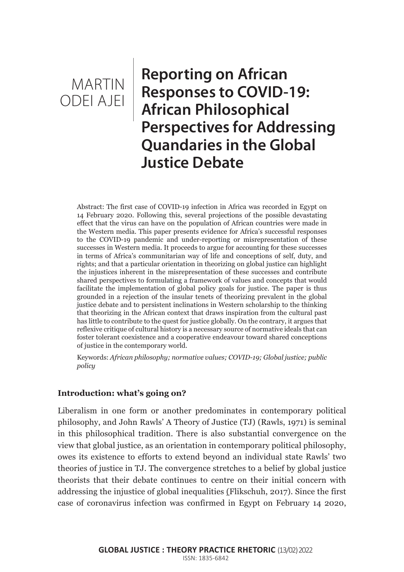**Reporting on African Responses to COVID-19: African Philosophical Perspectives for Addressing Quandaries in the Global Justice Debate**

Abstract: The first case of COVID-19 infection in Africa was recorded in Egypt on 14 February 2020. Following this, several projections of the possible devastating effect that the virus can have on the population of African countries were made in the Western media. This paper presents evidence for Africa's successful responses to the COVID-19 pandemic and under-reporting or misrepresentation of these successes in Western media. It proceeds to argue for accounting for these successes in terms of Africa's communitarian way of life and conceptions of self, duty, and rights; and that a particular orientation in theorizing on global justice can highlight the injustices inherent in the misrepresentation of these successes and contribute shared perspectives to formulating a framework of values and concepts that would facilitate the implementation of global policy goals for justice. The paper is thus grounded in a rejection of the insular tenets of theorizing prevalent in the global justice debate and to persistent inclinations in Western scholarship to the thinking that theorizing in the African context that draws inspiration from the cultural past has little to contribute to the quest for justice globally. On the contrary, it argues that reflexive critique of cultural history is a necessary source of normative ideals that can foster tolerant coexistence and a cooperative endeavour toward shared conceptions of justice in the contemporary world.

Keywords: *African philosophy; normative values; COVID-19; Global justice; public policy*

## **Introduction: what's going on?**

Liberalism in one form or another predominates in contemporary political philosophy, and John Rawls' A Theory of Justice (TJ) (Rawls, 1971) is seminal in this philosophical tradition. There is also substantial convergence on the view that global justice, as an orientation in contemporary political philosophy, owes its existence to efforts to extend beyond an individual state Rawls' two theories of justice in TJ. The convergence stretches to a belief by global justice theorists that their debate continues to centre on their initial concern with addressing the injustice of global inequalities (Flikschuh, 2017). Since the first case of coronavirus infection was confirmed in Egypt on February 14 2020,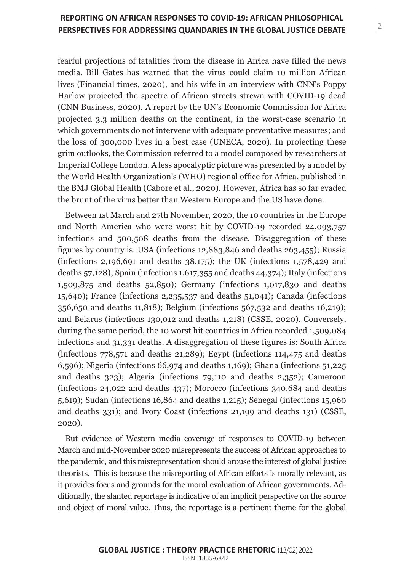fearful projections of fatalities from the disease in Africa have filled the news media. Bill Gates has warned that the virus could claim 10 million African lives (Financial times, 2020), and his wife in an interview with CNN's Poppy Harlow projected the spectre of African streets strewn with COVID-19 dead (CNN Business, 2020). A report by the UN's Economic Commission for Africa projected 3.3 million deaths on the continent, in the worst-case scenario in which governments do not intervene with adequate preventative measures; and the loss of 300,000 lives in a best case (UNECA, 2020). In projecting these grim outlooks, the Commission referred to a model composed by researchers at Imperial College London. A less apocalyptic picture was presented by a model by the World Health Organization's (WHO) regional office for Africa, published in the BMJ Global Health (Cabore et al., 2020). However, Africa has so far evaded the brunt of the virus better than Western Europe and the US have done.

Between 1st March and 27th November, 2020, the 10 countries in the Europe and North America who were worst hit by COVID-19 recorded 24,093,757 infections and 500,508 deaths from the disease. Disaggregation of these figures by country is: USA (infections 12,883,846 and deaths 263,455); Russia (infections 2,196,691 and deaths 38,175); the UK (infections 1,578,429 and deaths 57,128); Spain (infections 1,617,355 and deaths 44,374); Italy (infections 1,509,875 and deaths 52,850); Germany (infections 1,017,830 and deaths 15,640); France (infections 2,235,537 and deaths 51,041); Canada (infections 356,650 and deaths 11,818); Belgium (infections 567,532 and deaths 16,219); and Belarus (infections 130,012 and deaths 1,218) (CSSE, 2020). Conversely, during the same period, the 10 worst hit countries in Africa recorded 1,509,084 infections and 31,331 deaths. A disaggregation of these figures is: South Africa (infections  $778,571$  and deaths 21,289); Egypt (infections 114,475 and deaths 6,596); Nigeria (infections 66,974 and deaths 1,169); Ghana (infections 51,225 and deaths 323); Algeria (infections 79,110 and deaths 2,352); Cameroon (infections 24,022 and deaths 437); Morocco (infections 340,684 and deaths 5,619); Sudan (infections 16,864 and deaths 1,215); Senegal (infections 15,960 and deaths 331); and Ivory Coast (infections 21,199 and deaths 131) (CSSE, 2020).

But evidence of Western media coverage of responses to COVID-19 between March and mid-November 2020 misrepresents the success of African approaches to the pandemic, and this misrepresentation should arouse the interest of global justice theorists. This is because the misreporting of African efforts is morally relevant, as it provides focus and grounds for the moral evaluation of African governments. Additionally, the slanted reportage is indicative of an implicit perspective on the source and object of moral value. Thus, the reportage is a pertinent theme for the global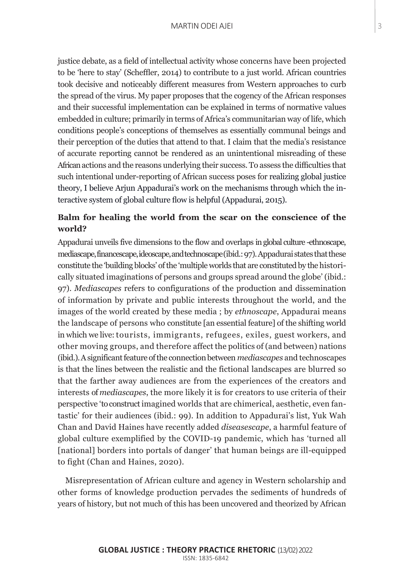justice debate, as a field of intellectual activity whose concerns have been projected to be 'here to stay' (Scheffler, 2014) to contribute to a just world. African countries took decisive and noticeably different measures from Western approaches to curb the spread of the virus. My paper proposes that the cogency of the African responses and their successful implementation can be explained in terms of normative values embedded in culture; primarily in terms of Africa's communitarian way of life, which conditions people's conceptions of themselves as essentially communal beings and their perception of the duties that attend to that. I claim that the media's resistance of accurate reporting cannot be rendered as an unintentional misreading of these African actions and the reasons underlying their success. To assess the difficulties that such intentional under-reporting of African success poses for realizing global justice theory, I believe Arjun Appadurai's work on the mechanisms through which the interactive system of global culture flow is helpful (Appadurai, 2015).

# **Balm for healing the world from the scar on the conscience of the world?**

Appadurai unveils five dimensions to the flow and overlaps in global culture -ethnoscape, mediascape, financescape, ideoscape, and technoscape (ibid.: 97). Appadurai states that these constitute the 'building blocks' of the 'multiple worlds that are constituted by the historically situated imaginations of persons and groups spread around the globe' (ibid.: 97). *Mediascapes* refers to configurations of the production and dissemination of information by private and public interests throughout the world, and the images of the world created by these media ; by *ethnoscape*, Appadurai means the landscape of persons who constitute [an essential feature] of the shifting world in which we live: tourists, immigrants, refugees, exiles, guest workers, and other moving groups, and therefore affect the politics of (and between) nations (ibid.). A significant feature of the connection between *mediascapes* and technoscapes is that the lines between the realistic and the fictional landscapes are blurred so that the farther away audiences are from the experiences of the creators and interests of *mediascapes*, the more likely it is for creators to use criteria of their perspective 'to construct imagined worlds that are chimerical, aesthetic, even fantastic' for their audiences (ibid.: 99). In addition to Appadurai's list, Yuk Wah Chan and David Haines have recently added *diseasescape*, a harmful feature of global culture exemplified by the COVID-19 pandemic, which has 'turned all [national] borders into portals of danger' that human beings are ill-equipped to fight (Chan and Haines, 2020).

Misrepresentation of African culture and agency in Western scholarship and other forms of knowledge production pervades the sediments of hundreds of years of history, but not much of this has been uncovered and theorized by African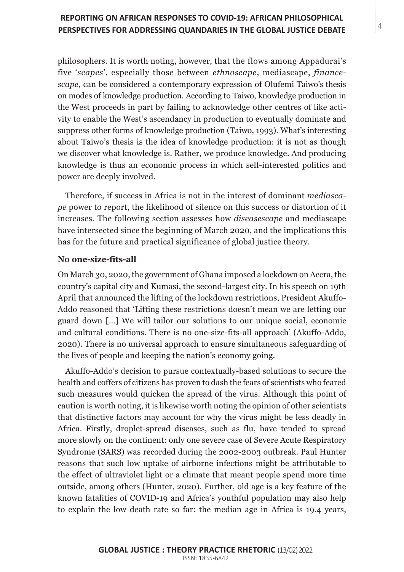philosophers. It is worth noting, however, that the flows among Appadurai's five '*scapes*', especially those between *ethnoscape*, mediascape, *financescape*, can be considered a contemporary expression of Olufemi Taiwo's thesis on modes of knowledge production. According to Taiwo, knowledge production in the West proceeds in part by failing to acknowledge other centres of like activity to enable the West's ascendancy in production to eventually dominate and suppress other forms of knowledge production (Taiwo, 1993). What's interesting about Taiwo's thesis is the idea of knowledge production: it is not as though we discover what knowledge is. Rather, we produce knowledge. And producing knowledge is thus an economic process in which self-interested politics and power are deeply involved.

Therefore, if success in Africa is not in the interest of dominant *mediascape* power to report, the likelihood of silence on this success or distortion of it increases. The following section assesses how *diseasescape* and mediascape have intersected since the beginning of March 2020, and the implications this has for the future and practical significance of global justice theory.

## **No one-size-fits-all**

On March 30, 2020, the government of Ghana imposed a lockdown on Accra, the country's capital city and Kumasi, the second-largest city. In his speech on 19th April that announced the lifting of the lockdown restrictions, President Akuffo-Addo reasoned that 'Lifting these restrictions doesn't mean we are letting our guard down […] We will tailor our solutions to our unique social, economic and cultural conditions. There is no one-size-fits-all approach' (Akuffo-Addo, 2020). There is no universal approach to ensure simultaneous safeguarding of the lives of people and keeping the nation's economy going.

Akuffo-Addo's decision to pursue contextually-based solutions to secure the health and coffers of citizens has proven to dash the fears of scientists who feared such measures would quicken the spread of the virus. Although this point of caution is worth noting, it is likewise worth noting the opinion of other scientists that distinctive factors may account for why the virus might be less deadly in Africa. Firstly, droplet-spread diseases, such as flu, have tended to spread more slowly on the continent: only one severe case of Severe Acute Respiratory Syndrome (SARS) was recorded during the 2002-2003 outbreak. Paul Hunter reasons that such low uptake of airborne infections might be attributable to the effect of ultraviolet light or a climate that meant people spend more time outside, among others (Hunter, 2020). Further, old age is a key feature of the known fatalities of COVID-19 and Africa's youthful population may also help to explain the low death rate so far: the median age in Africa is 19.4 years,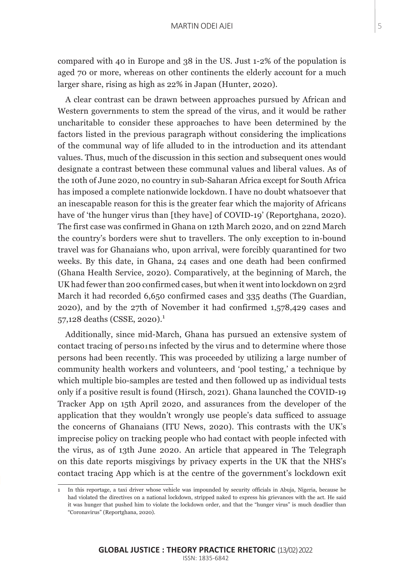compared with 40 in Europe and 38 in the US. Just 1-2% of the population is aged 70 or more, whereas on other continents the elderly account for a much larger share, rising as high as 22% in Japan (Hunter, 2020).

A clear contrast can be drawn between approaches pursued by African and Western governments to stem the spread of the virus, and it would be rather uncharitable to consider these approaches to have been determined by the factors listed in the previous paragraph without considering the implications of the communal way of life alluded to in the introduction and its attendant values. Thus, much of the discussion in this section and subsequent ones would designate a contrast between these communal values and liberal values. As of the 10th of June 2020, no country in sub-Saharan Africa except for South Africa has imposed a complete nationwide lockdown. I have no doubt whatsoever that an inescapable reason for this is the greater fear which the majority of Africans have of 'the hunger virus than [they have] of COVID-19' (Reportghana, 2020). The first case was confirmed in Ghana on 12th March 2020, and on 22nd March the country's borders were shut to travellers. The only exception to in-bound travel was for Ghanaians who, upon arrival, were forcibly quarantined for two weeks. By this date, in Ghana, 24 cases and one death had been confirmed (Ghana Health Service, 2020). Comparatively, at the beginning of March, the UK had fewer than 200 confirmed cases, but when it went into lockdown on 23rd March it had recorded 6,650 confirmed cases and 335 deaths (The Guardian, 2020), and by the 27th of November it had confirmed 1,578,429 cases and 57,128 deaths (CSSE, 2020).<sup>1</sup>

Additionally, since mid-March, Ghana has pursued an extensive system of contact tracing of perso $\iota$ ns infected by the virus and to determine where those persons had been recently. This was proceeded by utilizing a large number of community health workers and volunteers, and 'pool testing,' a technique by which multiple bio-samples are tested and then followed up as individual tests only if a positive result is found (Hirsch, 2021). Ghana launched the COVID-19 Tracker App on 15th April 2020, and assurances from the developer of the application that they wouldn't wrongly use people's data sufficed to assuage the concerns of Ghanaians (ITU News, 2020). This contrasts with the UK's imprecise policy on tracking people who had contact with people infected with the virus, as of 13th June 2020. An article that appeared in The Telegraph on this date reports misgivings by privacy experts in the UK that the NHS's contact tracing App which is at the centre of the government's lockdown exit

<sup>1</sup> In this reportage, a taxi driver whose vehicle was impounded by security officials in Abuja, Nigeria, because he had violated the directives on a national lockdown, stripped naked to express his grievances with the act. He said it was hunger that pushed him to violate the lockdown order, and that the "hunger virus" is much deadlier than "Coronavirus" (Reportghana, 2020).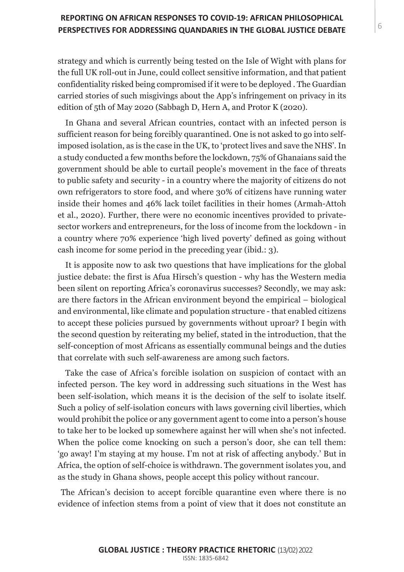strategy and which is currently being tested on the Isle of Wight with plans for the full UK roll-out in June, could collect sensitive information, and that patient confidentiality risked being compromised if it were to be deployed . The Guardian carried stories of such misgivings about the App's infringement on privacy in its edition of 5th of May 2020 (Sabbagh D, Hern A, and Protor K (2020).

In Ghana and several African countries, contact with an infected person is sufficient reason for being forcibly quarantined. One is not asked to go into selfimposed isolation, as is the case in the UK, to 'protect lives and save the NHS'. In a study conducted a few months before the lockdown, 75% of Ghanaians said the government should be able to curtail people's movement in the face of threats to public safety and security - in a country where the majority of citizens do not own refrigerators to store food, and where 30% of citizens have running water inside their homes and 46% lack toilet facilities in their homes (Armah-Attoh et al., 2020). Further, there were no economic incentives provided to privatesector workers and entrepreneurs, for the loss of income from the lockdown - in a country where 70% experience 'high lived poverty' defined as going without cash income for some period in the preceding year (ibid.: 3).

It is apposite now to ask two questions that have implications for the global justice debate: the first is Afua Hirsch's question - why has the Western media been silent on reporting Africa's coronavirus successes? Secondly, we may ask: are there factors in the African environment beyond the empirical – biological and environmental, like climate and population structure - that enabled citizens to accept these policies pursued by governments without uproar? I begin with the second question by reiterating my belief, stated in the introduction, that the self-conception of most Africans as essentially communal beings and the duties that correlate with such self-awareness are among such factors.

Take the case of Africa's forcible isolation on suspicion of contact with an infected person. The key word in addressing such situations in the West has been self-isolation, which means it is the decision of the self to isolate itself. Such a policy of self-isolation concurs with laws governing civil liberties, which would prohibit the police or any government agent to come into a person's house to take her to be locked up somewhere against her will when she's not infected. When the police come knocking on such a person's door, she can tell them: 'go away! I'm staying at my house. I'm not at risk of affecting anybody.' But in Africa, the option of self-choice is withdrawn. The government isolates you, and as the study in Ghana shows, people accept this policy without rancour.

The African's decision to accept forcible quarantine even where there is no evidence of infection stems from a point of view that it does not constitute an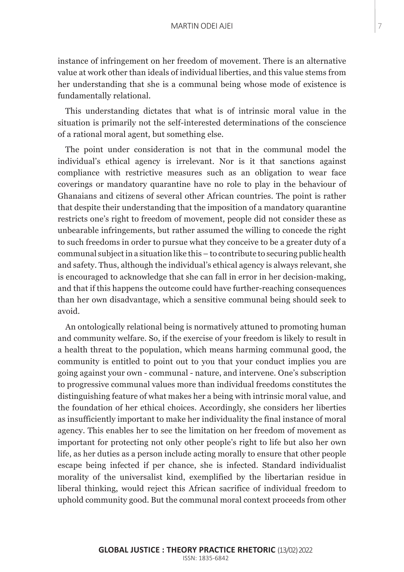## MARTIN ODEI AJEI<br>T

instance of infringement on her freedom of movement. There is an alternative value at work other than ideals of individual liberties, and this value stems from her understanding that she is a communal being whose mode of existence is fundamentally relational.

This understanding dictates that what is of intrinsic moral value in the situation is primarily not the self-interested determinations of the conscience of a rational moral agent, but something else.

The point under consideration is not that in the communal model the individual's ethical agency is irrelevant. Nor is it that sanctions against compliance with restrictive measures such as an obligation to wear face coverings or mandatory quarantine have no role to play in the behaviour of Ghanaians and citizens of several other African countries. The point is rather that despite their understanding that the imposition of a mandatory quarantine restricts one's right to freedom of movement, people did not consider these as unbearable infringements, but rather assumed the willing to concede the right to such freedoms in order to pursue what they conceive to be a greater duty of a communal subject in a situation like this – to contribute to securing public health and safety. Thus, although the individual's ethical agency is always relevant, she is encouraged to acknowledge that she can fall in error in her decision-making, and that if this happens the outcome could have further-reaching consequences than her own disadvantage, which a sensitive communal being should seek to avoid.

An ontologically relational being is normatively attuned to promoting human and community welfare. So, if the exercise of your freedom is likely to result in a health threat to the population, which means harming communal good, the community is entitled to point out to you that your conduct implies you are going against your own - communal - nature, and intervene. One's subscription to progressive communal values more than individual freedoms constitutes the distinguishing feature of what makes her a being with intrinsic moral value, and the foundation of her ethical choices. Accordingly, she considers her liberties as insufficiently important to make her individuality the final instance of moral agency. This enables her to see the limitation on her freedom of movement as important for protecting not only other people's right to life but also her own life, as her duties as a person include acting morally to ensure that other people escape being infected if per chance, she is infected. Standard individualist morality of the universalist kind, exemplified by the libertarian residue in liberal thinking, would reject this African sacrifice of individual freedom to uphold community good. But the communal moral context proceeds from other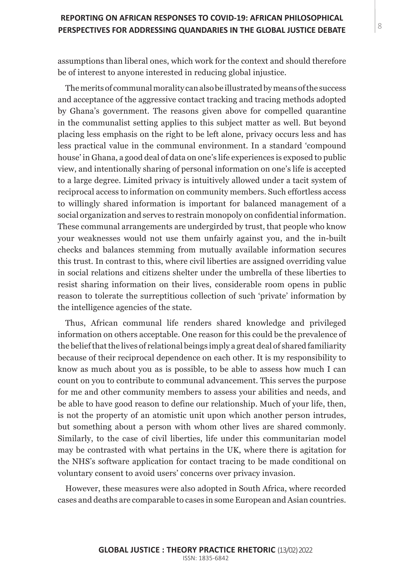assumptions than liberal ones, which work for the context and should therefore be of interest to anyone interested in reducing global injustice.

The merits of communal morality can also be illustrated by means of the success and acceptance of the aggressive contact tracking and tracing methods adopted by Ghana's government. The reasons given above for compelled quarantine in the communalist setting applies to this subject matter as well. But beyond placing less emphasis on the right to be left alone, privacy occurs less and has less practical value in the communal environment. In a standard 'compound house' in Ghana, a good deal of data on one's life experiences is exposed to public view, and intentionally sharing of personal information on one's life is accepted to a large degree. Limited privacy is intuitively allowed under a tacit system of reciprocal access to information on community members. Such effortless access to willingly shared information is important for balanced management of a social organization and serves to restrain monopoly on confidential information. These communal arrangements are undergirded by trust, that people who know your weaknesses would not use them unfairly against you, and the in-built checks and balances stemming from mutually available information secures this trust. In contrast to this, where civil liberties are assigned overriding value in social relations and citizens shelter under the umbrella of these liberties to resist sharing information on their lives, considerable room opens in public reason to tolerate the surreptitious collection of such 'private' information by the intelligence agencies of the state.

Thus, African communal life renders shared knowledge and privileged information on others acceptable. One reason for this could be the prevalence of the belief that the lives of relational beings imply a great deal of shared familiarity because of their reciprocal dependence on each other. It is my responsibility to know as much about you as is possible, to be able to assess how much I can count on you to contribute to communal advancement. This serves the purpose for me and other community members to assess your abilities and needs, and be able to have good reason to define our relationship. Much of your life, then, is not the property of an atomistic unit upon which another person intrudes, but something about a person with whom other lives are shared commonly. Similarly, to the case of civil liberties, life under this communitarian model may be contrasted with what pertains in the UK, where there is agitation for the NHS's software application for contact tracing to be made conditional on voluntary consent to avoid users' concerns over privacy invasion.

However, these measures were also adopted in South Africa, where recorded cases and deaths are comparable to cases in some European and Asian countries.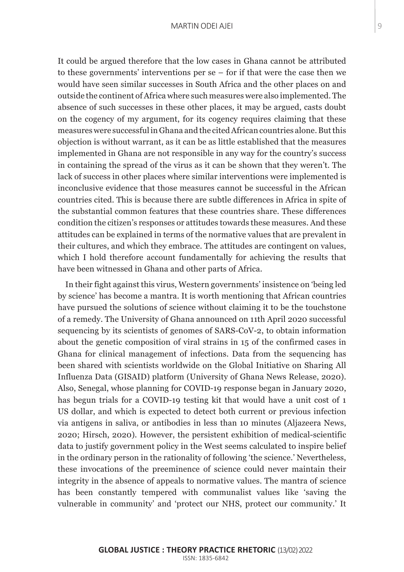It could be argued therefore that the low cases in Ghana cannot be attributed to these governments' interventions per se – for if that were the case then we would have seen similar successes in South Africa and the other places on and outside the continent of Africa where such measures were also implemented. The absence of such successes in these other places, it may be argued, casts doubt on the cogency of my argument, for its cogency requires claiming that these measures were successful in Ghana and the cited African countries alone. But this objection is without warrant, as it can be as little established that the measures implemented in Ghana are not responsible in any way for the country's success in containing the spread of the virus as it can be shown that they weren't. The lack of success in other places where similar interventions were implemented is inconclusive evidence that those measures cannot be successful in the African countries cited. This is because there are subtle differences in Africa in spite of the substantial common features that these countries share. These differences condition the citizen's responses or attitudes towards these measures. And these attitudes can be explained in terms of the normative values that are prevalent in their cultures, and which they embrace. The attitudes are contingent on values, which I hold therefore account fundamentally for achieving the results that have been witnessed in Ghana and other parts of Africa.

In their fight against this virus, Western governments' insistence on 'being led by science' has become a mantra. It is worth mentioning that African countries have pursued the solutions of science without claiming it to be the touchstone of a remedy. The University of Ghana announced on 11th April 2020 successful sequencing by its scientists of genomes of SARS-CoV-2, to obtain information about the genetic composition of viral strains in 15 of the confirmed cases in Ghana for clinical management of infections. Data from the sequencing has been shared with scientists worldwide on the Global Initiative on Sharing All Influenza Data (GISAID) platform (University of Ghana News Release, 2020). Also, Senegal, whose planning for COVID-19 response began in January 2020, has begun trials for a COVID-19 testing kit that would have a unit cost of 1 US dollar, and which is expected to detect both current or previous infection via antigens in saliva, or antibodies in less than 10 minutes (Aljazeera News, 2020; Hirsch, 2020). However, the persistent exhibition of medical-scientific data to justify government policy in the West seems calculated to inspire belief in the ordinary person in the rationality of following 'the science.' Nevertheless, these invocations of the preeminence of science could never maintain their integrity in the absence of appeals to normative values. The mantra of science has been constantly tempered with communalist values like 'saving the vulnerable in community' and 'protect our NHS, protect our community.' It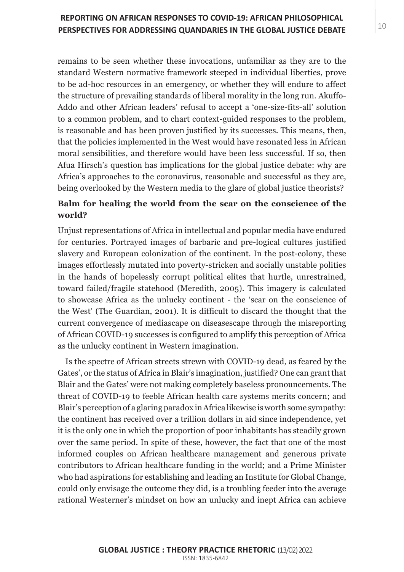remains to be seen whether these invocations, unfamiliar as they are to the standard Western normative framework steeped in individual liberties, prove to be ad-hoc resources in an emergency, or whether they will endure to affect the structure of prevailing standards of liberal morality in the long run. Akuffo-Addo and other African leaders' refusal to accept a 'one-size-fits-all' solution to a common problem, and to chart context-guided responses to the problem, is reasonable and has been proven justified by its successes. This means, then, that the policies implemented in the West would have resonated less in African moral sensibilities, and therefore would have been less successful. If so, then Afua Hirsch's question has implications for the global justice debate: why are Africa's approaches to the coronavirus, reasonable and successful as they are, being overlooked by the Western media to the glare of global justice theorists?

# **Balm for healing the world from the scar on the conscience of the world?**

Unjust representations of Africa in intellectual and popular media have endured for centuries. Portrayed images of barbaric and pre-logical cultures justified slavery and European colonization of the continent. In the post-colony, these images effortlessly mutated into poverty-stricken and socially unstable polities in the hands of hopelessly corrupt political elites that hurtle, unrestrained, toward failed/fragile statehood (Meredith, 2005). This imagery is calculated to showcase Africa as the unlucky continent - the 'scar on the conscience of the West' (The Guardian, 2001). It is difficult to discard the thought that the current convergence of mediascape on diseasescape through the misreporting of African COVID-19 successes is configured to amplify this perception of Africa as the unlucky continent in Western imagination.

Is the spectre of African streets strewn with COVID-19 dead, as feared by the Gates', or the status of Africa in Blair's imagination, justified? One can grant that Blair and the Gates' were not making completely baseless pronouncements. The threat of COVID-19 to feeble African health care systems merits concern; and Blair's perception of a glaring paradox in Africa likewise is worth some sympathy: the continent has received over a trillion dollars in aid since independence, yet it is the only one in which the proportion of poor inhabitants has steadily grown over the same period. In spite of these, however, the fact that one of the most informed couples on African healthcare management and generous private contributors to African healthcare funding in the world; and a Prime Minister who had aspirations for establishing and leading an Institute for Global Change, could only envisage the outcome they did, is a troubling feeder into the average rational Westerner's mindset on how an unlucky and inept Africa can achieve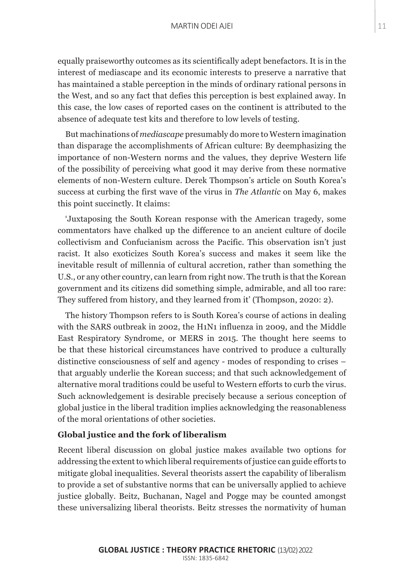equally praiseworthy outcomes as its scientifically adept benefactors. It is in the interest of mediascape and its economic interests to preserve a narrative that has maintained a stable perception in the minds of ordinary rational persons in the West, and so any fact that defies this perception is best explained away. In this case, the low cases of reported cases on the continent is attributed to the absence of adequate test kits and therefore to low levels of testing.

But machinations of *mediascape* presumably do more to Western imagination than disparage the accomplishments of African culture: By deemphasizing the importance of non-Western norms and the values, they deprive Western life of the possibility of perceiving what good it may derive from these normative elements of non-Western culture. Derek Thompson's article on South Korea's success at curbing the first wave of the virus in *The Atlantic* on May 6, makes this point succinctly. It claims:

'Juxtaposing the South Korean response with the American tragedy, some commentators have chalked up the difference to an ancient culture of docile collectivism and Confucianism across the Pacific. This observation isn't just racist. It also exoticizes South Korea's success and makes it seem like the inevitable result of millennia of cultural accretion, rather than something the U.S., or any other country, can learn from right now. The truth is that the Korean government and its citizens did something simple, admirable, and all too rare: They suffered from history, and they learned from it' (Thompson, 2020: 2).

The history Thompson refers to is South Korea's course of actions in dealing with the SARS outbreak in 2002, the H1N1 influenza in 2009, and the Middle East Respiratory Syndrome, or MERS in 2015. The thought here seems to be that these historical circumstances have contrived to produce a culturally distinctive consciousness of self and agency - modes of responding to crises – that arguably underlie the Korean success; and that such acknowledgement of alternative moral traditions could be useful to Western efforts to curb the virus. Such acknowledgement is desirable precisely because a serious conception of global justice in the liberal tradition implies acknowledging the reasonableness of the moral orientations of other societies.

## **Global justice and the fork of liberalism**

Recent liberal discussion on global justice makes available two options for addressing the extent to which liberal requirements of justice can guide efforts to mitigate global inequalities. Several theorists assert the capability of liberalism to provide a set of substantive norms that can be universally applied to achieve justice globally. Beitz, Buchanan, Nagel and Pogge may be counted amongst these universalizing liberal theorists. Beitz stresses the normativity of human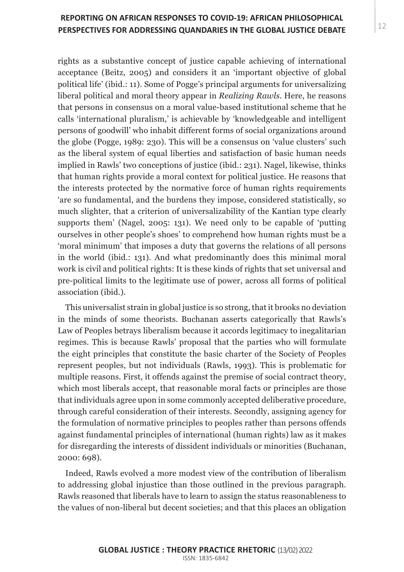rights as a substantive concept of justice capable achieving of international acceptance (Beitz, 2005) and considers it an 'important objective of global political life' (ibid.: 11). Some of Pogge's principal arguments for universalizing liberal political and moral theory appear in *Realizing Rawls*. Here, he reasons that persons in consensus on a moral value-based institutional scheme that he calls 'international pluralism,' is achievable by 'knowledgeable and intelligent persons of goodwill' who inhabit different forms of social organizations around the globe (Pogge, 1989: 230). This will be a consensus on 'value clusters' such as the liberal system of equal liberties and satisfaction of basic human needs implied in Rawls' two conceptions of justice (ibid.: 231). Nagel, likewise, thinks that human rights provide a moral context for political justice. He reasons that the interests protected by the normative force of human rights requirements 'are so fundamental, and the burdens they impose, considered statistically, so much slighter, that a criterion of universalizability of the Kantian type clearly supports them' (Nagel, 2005: 131). We need only to be capable of 'putting ourselves in other people's shoes' to comprehend how human rights must be a 'moral minimum' that imposes a duty that governs the relations of all persons in the world (ibid.: 131). And what predominantly does this minimal moral work is civil and political rights: It is these kinds of rights that set universal and pre-political limits to the legitimate use of power, across all forms of political association (ibid.).

This universalist strain in global justice is so strong, that it brooks no deviation in the minds of some theorists. Buchanan asserts categorically that Rawls's Law of Peoples betrays liberalism because it accords legitimacy to inegalitarian regimes. This is because Rawls' proposal that the parties who will formulate the eight principles that constitute the basic charter of the Society of Peoples represent peoples, but not individuals (Rawls, 1993). This is problematic for multiple reasons. First, it offends against the premise of social contract theory, which most liberals accept, that reasonable moral facts or principles are those that individuals agree upon in some commonly accepted deliberative procedure, through careful consideration of their interests. Secondly, assigning agency for the formulation of normative principles to peoples rather than persons offends against fundamental principles of international (human rights) law as it makes for disregarding the interests of dissident individuals or minorities (Buchanan, 2000: 698).

Indeed, Rawls evolved a more modest view of the contribution of liberalism to addressing global injustice than those outlined in the previous paragraph. Rawls reasoned that liberals have to learn to assign the status reasonableness to the values of non-liberal but decent societies; and that this places an obligation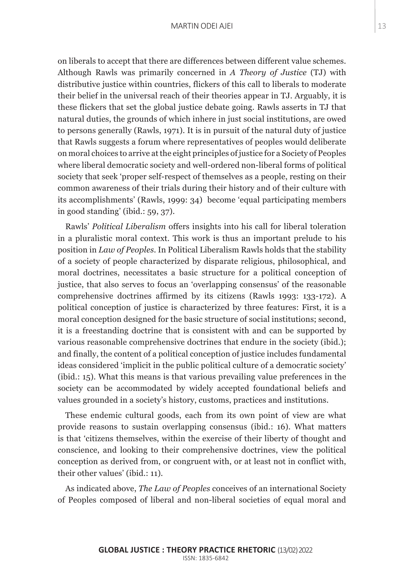on liberals to accept that there are differences between different value schemes. Although Rawls was primarily concerned in *A Theory of Justice* (TJ) with distributive justice within countries, flickers of this call to liberals to moderate their belief in the universal reach of their theories appear in TJ. Arguably, it is these flickers that set the global justice debate going. Rawls asserts in TJ that natural duties, the grounds of which inhere in just social institutions, are owed to persons generally (Rawls, 1971). It is in pursuit of the natural duty of justice that Rawls suggests a forum where representatives of peoples would deliberate on moral choices to arrive at the eight principles of justice for a Society of Peoples where liberal democratic society and well-ordered non-liberal forms of political society that seek 'proper self-respect of themselves as a people, resting on their common awareness of their trials during their history and of their culture with its accomplishments' (Rawls, 1999: 34) become 'equal participating members in good standing' (ibid.: 59, 37).

Rawls' *Political Liberalism* offers insights into his call for liberal toleration in a pluralistic moral context. This work is thus an important prelude to his position in *Law of Peoples*. In Political Liberalism Rawls holds that the stability of a society of people characterized by disparate religious, philosophical, and moral doctrines, necessitates a basic structure for a political conception of justice, that also serves to focus an 'overlapping consensus' of the reasonable comprehensive doctrines affirmed by its citizens (Rawls 1993: 133-172). A political conception of justice is characterized by three features: First, it is a moral conception designed for the basic structure of social institutions; second, it is a freestanding doctrine that is consistent with and can be supported by various reasonable comprehensive doctrines that endure in the society (ibid.); and finally, the content of a political conception of justice includes fundamental ideas considered 'implicit in the public political culture of a democratic society' (ibid.: 15). What this means is that various prevailing value preferences in the society can be accommodated by widely accepted foundational beliefs and values grounded in a society's history, customs, practices and institutions.

These endemic cultural goods, each from its own point of view are what provide reasons to sustain overlapping consensus (ibid.: 16). What matters is that 'citizens themselves, within the exercise of their liberty of thought and conscience, and looking to their comprehensive doctrines, view the political conception as derived from, or congruent with, or at least not in conflict with, their other values' (ibid.: 11).

As indicated above, *The Law of Peoples* conceives of an international Society of Peoples composed of liberal and non-liberal societies of equal moral and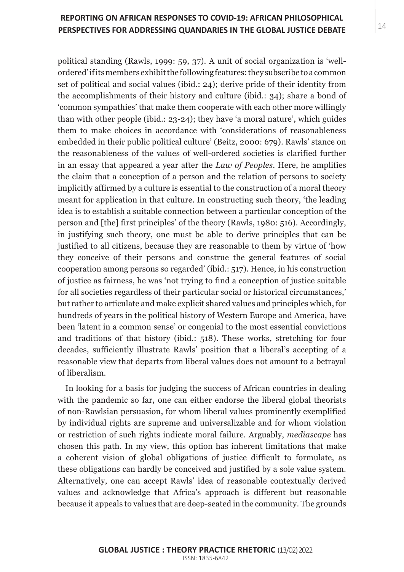# PERSPECTIVES FOR ADDRESSING QUANDARIES IN THE GLOBAL JUSTICE DEBATE  $\vert^{14}$ **REPORTING ON AFRICAN RESPONSES TO COVID-19: AFRICAN PHILOSOPHICAL**

political standing (Rawls, 1999: 59, 37). A unit of social organization is 'wellordered' if its members exhibit the following features: they subscribe to a common set of political and social values (ibid.: 24); derive pride of their identity from the accomplishments of their history and culture (ibid.: 34); share a bond of 'common sympathies' that make them cooperate with each other more willingly than with other people (ibid.: 23-24); they have 'a moral nature', which guides them to make choices in accordance with 'considerations of reasonableness embedded in their public political culture' (Beitz, 2000: 679). Rawls' stance on the reasonableness of the values of well-ordered societies is clarified further in an essay that appeared a year after the *Law of Peoples*. Here, he amplifies the claim that a conception of a person and the relation of persons to society implicitly affirmed by a culture is essential to the construction of a moral theory meant for application in that culture. In constructing such theory, 'the leading idea is to establish a suitable connection between a particular conception of the person and [the] first principles' of the theory (Rawls, 1980: 516). Accordingly, in justifying such theory, one must be able to derive principles that can be justified to all citizens, because they are reasonable to them by virtue of 'how they conceive of their persons and construe the general features of social cooperation among persons so regarded' (ibid.: 517). Hence, in his construction of justice as fairness, he was 'not trying to find a conception of justice suitable for all societies regardless of their particular social or historical circumstances,' but rather to articulate and make explicit shared values and principles which, for hundreds of years in the political history of Western Europe and America, have been 'latent in a common sense' or congenial to the most essential convictions and traditions of that history (ibid.: 518). These works, stretching for four decades, sufficiently illustrate Rawls' position that a liberal's accepting of a reasonable view that departs from liberal values does not amount to a betrayal of liberalism.

In looking for a basis for judging the success of African countries in dealing with the pandemic so far, one can either endorse the liberal global theorists of non-Rawlsian persuasion, for whom liberal values prominently exemplified by individual rights are supreme and universalizable and for whom violation or restriction of such rights indicate moral failure. Arguably, *mediascape* has chosen this path. In my view, this option has inherent limitations that make a coherent vision of global obligations of justice difficult to formulate, as these obligations can hardly be conceived and justified by a sole value system. Alternatively, one can accept Rawls' idea of reasonable contextually derived values and acknowledge that Africa's approach is different but reasonable because it appeals to values that are deep-seated in the community. The grounds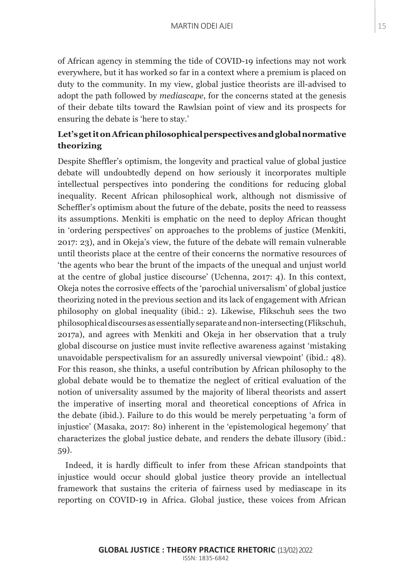of African agency in stemming the tide of COVID-19 infections may not work everywhere, but it has worked so far in a context where a premium is placed on duty to the community. In my view, global justice theorists are ill-advised to adopt the path followed by *mediascape*, for the concerns stated at the genesis of their debate tilts toward the Rawlsian point of view and its prospects for ensuring the debate is 'here to stay.'

# **Let's get it on African philosophical perspectives and global normative theorizing**

Despite Sheffler's optimism, the longevity and practical value of global justice debate will undoubtedly depend on how seriously it incorporates multiple intellectual perspectives into pondering the conditions for reducing global inequality. Recent African philosophical work, although not dismissive of Scheffler's optimism about the future of the debate, posits the need to reassess its assumptions. Menkiti is emphatic on the need to deploy African thought in 'ordering perspectives' on approaches to the problems of justice (Menkiti, 2017: 23), and in Okeja's view, the future of the debate will remain vulnerable until theorists place at the centre of their concerns the normative resources of 'the agents who bear the brunt of the impacts of the unequal and unjust world at the centre of global justice discourse' (Uchenna, 2017: 4). In this context, Okeja notes the corrosive effects of the 'parochial universalism' of global justice theorizing noted in the previous section and its lack of engagement with African philosophy on global inequality (ibid.: 2). Likewise, Flikschuh sees the two philosophical discourses as essentially separate and non-intersecting (Flikschuh, 2017a), and agrees with Menkiti and Okeja in her observation that a truly global discourse on justice must invite reflective awareness against 'mistaking unavoidable perspectivalism for an assuredly universal viewpoint' (ibid.: 48). For this reason, she thinks, a useful contribution by African philosophy to the global debate would be to thematize the neglect of critical evaluation of the notion of universality assumed by the majority of liberal theorists and assert the imperative of inserting moral and theoretical conceptions of Africa in the debate (ibid.). Failure to do this would be merely perpetuating 'a form of injustice' (Masaka, 2017: 80) inherent in the 'epistemological hegemony' that characterizes the global justice debate, and renders the debate illusory (ibid.: 59).

Indeed, it is hardly difficult to infer from these African standpoints that injustice would occur should global justice theory provide an intellectual framework that sustains the criteria of fairness used by mediascape in its reporting on COVID-19 in Africa. Global justice, these voices from African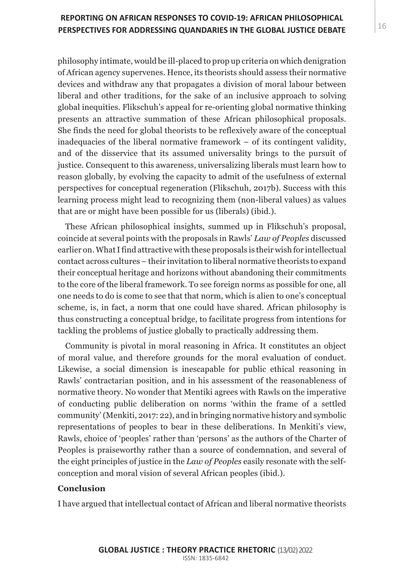# PERSPECTIVES FOR ADDRESSING QUANDARIES IN THE GLOBAL JUSTICE DEBATE  $^{\rm 16}$ **REPORTING ON AFRICAN RESPONSES TO COVID-19: AFRICAN PHILOSOPHICAL**

philosophy intimate, would be ill-placed to prop up criteria on which denigration of African agency supervenes. Hence, its theorists should assess their normative devices and withdraw any that propagates a division of moral labour between liberal and other traditions, for the sake of an inclusive approach to solving global inequities. Flikschuh's appeal for re-orienting global normative thinking presents an attractive summation of these African philosophical proposals. She finds the need for global theorists to be reflexively aware of the conceptual inadequacies of the liberal normative framework – of its contingent validity, and of the disservice that its assumed universality brings to the pursuit of justice. Consequent to this awareness, universalizing liberals must learn how to reason globally, by evolving the capacity to admit of the usefulness of external perspectives for conceptual regeneration (Flikschuh, 2017b). Success with this learning process might lead to recognizing them (non-liberal values) as values that are or might have been possible for us (liberals) (ibid.).

These African philosophical insights, summed up in Flikschuh's proposal, coincide at several points with the proposals in Rawls' *Law of Peoples* discussed earlier on. What I find attractive with these proposals is their wish for intellectual contact across cultures – their invitation to liberal normative theorists to expand their conceptual heritage and horizons without abandoning their commitments to the core of the liberal framework. To see foreign norms as possible for one, all one needs to do is come to see that that norm, which is alien to one's conceptual scheme, is, in fact, a norm that one could have shared. African philosophy is thus constructing a conceptual bridge, to facilitate progress from intentions for tackling the problems of justice globally to practically addressing them.

Community is pivotal in moral reasoning in Africa. It constitutes an object of moral value, and therefore grounds for the moral evaluation of conduct. Likewise, a social dimension is inescapable for public ethical reasoning in Rawls' contractarian position, and in his assessment of the reasonableness of normative theory. No wonder that Mentiki agrees with Rawls on the imperative of conducting public deliberation on norms 'within the frame of a settled community' (Menkiti, 2017: 22), and in bringing normative history and symbolic representations of peoples to bear in these deliberations. In Menkiti's view, Rawls, choice of 'peoples' rather than 'persons' as the authors of the Charter of Peoples is praiseworthy rather than a source of condemnation, and several of the eight principles of justice in the *Law of Peoples* easily resonate with the selfconception and moral vision of several African peoples (ibid.).

## **Conclusion**

I have argued that intellectual contact of African and liberal normative theorists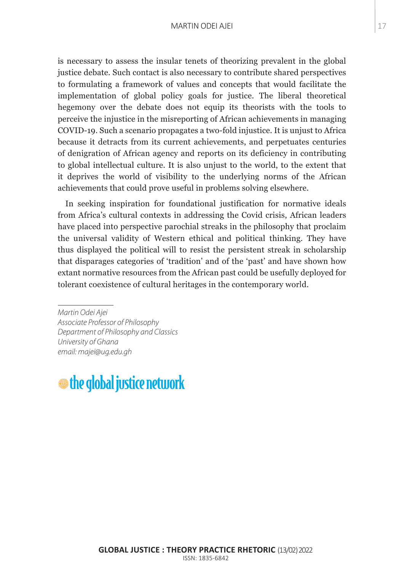## MARGARET MOORE 83 MARTIN ODEI AJEI

is necessary to assess the insular tenets of theorizing prevalent in the global justice debate. Such contact is also necessary to contribute shared perspectives to formulating a framework of values and concepts that would facilitate the implementation of global policy goals for justice. The liberal theoretical hegemony over the debate does not equip its theorists with the tools to perceive the injustice in the misreporting of African achievements in managing COVID-19. Such a scenario propagates a two-fold injustice. It is unjust to Africa because it detracts from its current achievements, and perpetuates centuries of denigration of African agency and reports on its deficiency in contributing to global intellectual culture. It is also unjust to the world, to the extent that it deprives the world of visibility to the underlying norms of the African achievements that could prove useful in problems solving elsewhere.

In seeking inspiration for foundational justification for normative ideals from Africa's cultural contexts in addressing the Covid crisis, African leaders have placed into perspective parochial streaks in the philosophy that proclaim the universal validity of Western ethical and political thinking. They have thus displayed the political will to resist the persistent streak in scholarship that disparages categories of 'tradition' and of the 'past' and have shown how extant normative resources from the African past could be usefully deployed for tolerant coexistence of cultural heritages in the contemporary world.

*Martin Odei Ajei Associate Professor of Philosophy Department of Philosophy and Classics University of Ghana email: majei@ug.edu.gh*

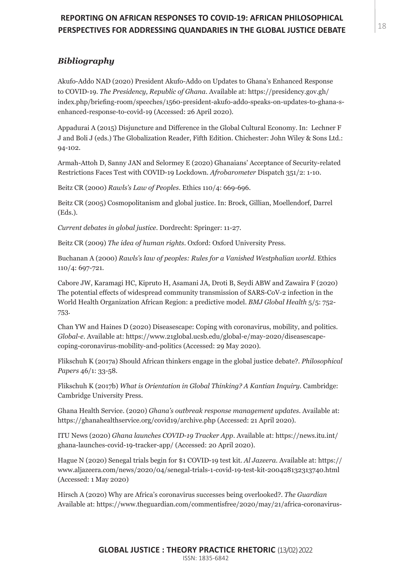# PERSPECTIVES FOR ADDRESSING QUANDARIES IN THE GLOBAL JUSTICE DEBATE  $^{\text{18}}$ **REPORTING ON AFRICAN RESPONSES TO COVID-19: AFRICAN PHILOSOPHICAL**

## *Bibliography*

Akufo-Addo NAD (2020) President Akufo-Addo on Updates to Ghana's Enhanced Response to COVID-19. *The Presidency, Republic of Ghana*. Available at: https://presidency.gov.gh/ index.php/briefing-room/speeches/1560-president-akufo-addo-speaks-on-updates-to-ghana-senhanced-response-to-covid-19 (Accessed: 26 April 2020).

Appadurai A (2015) Disjuncture and Difference in the Global Cultural Economy. In: Lechner F J and Boli J (eds.) The Globalization Reader, Fifth Edition. Chichester: John Wiley & Sons Ltd.: 94-102.

Armah-Attoh D, Sanny JAN and Selormey E (2020) Ghanaians' Acceptance of Security-related Restrictions Faces Test with COVID-19 Lockdown. *Afrobarometer* Dispatch 351/2: 1-10.

Beitz CR (2000) *Rawls's Law of Peoples*. Ethics 110/4: 669-696.

Beitz CR (2005) Cosmopolitanism and global justice. In: Brock, Gillian, Moellendorf, Darrel (Eds.).

*Current debates in global justice*. Dordrecht: Springer: 11-27.

Beitz CR (2009) *The idea of human rights*. Oxford: Oxford University Press.

Buchanan A (2000) *Rawls's law of peoples: Rules for a Vanished Westphalian world*. Ethics 110/4: 697-721.

Cabore JW, Karamagi HC, Kipruto H, Asamani JA, Droti B, Seydi ABW and Zawaira F (2020) The potential effects of widespread community transmission of SARS-CoV-2 infection in the World Health Organization African Region: a predictive model. *BMJ Global Health* 5/5: 752- 753.

Chan YW and Haines D (2020) Diseasescape: Coping with coronavirus, mobility, and politics. *Global-e*. Available at: https://www.21global.ucsb.edu/global-e/may-2020/diseasescapecoping-coronavirus-mobility-and-politics (Accessed: 29 May 2020).

Flikschuh K (2017a) Should African thinkers engage in the global justice debate?. *Philosophical Papers* 46/1: 33-58.

Flikschuh K (2017b) *What is Orientation in Global Thinking? A Kantian Inquiry.* Cambridge: Cambridge University Press.

Ghana Health Service. (2020) *Ghana's outbreak response management updates.* Available at: https://ghanahealthservice.org/covid19/archive.php (Accessed: 21 April 2020).

ITU News (2020) *Ghana launches COVID-19 Tracker App*. Available at: https://news.itu.int/ ghana-launches-covid-19-tracker-app/ (Accessed: 20 April 2020).

Hague N (2020) Senegal trials begin for \$1 COVID-19 test kit. *Al Jazeera*. Available at: https:// www.aljazeera.com/news/2020/04/senegal-trials-1-covid-19-test-kit-200428132313740.html (Accessed: 1 May 2020)

Hirsch A (2020) Why are Africa's coronavirus successes being overlooked?. *The Guardian*  Available at: https://www.theguardian.com/commentisfree/2020/may/21/africa-coronavirus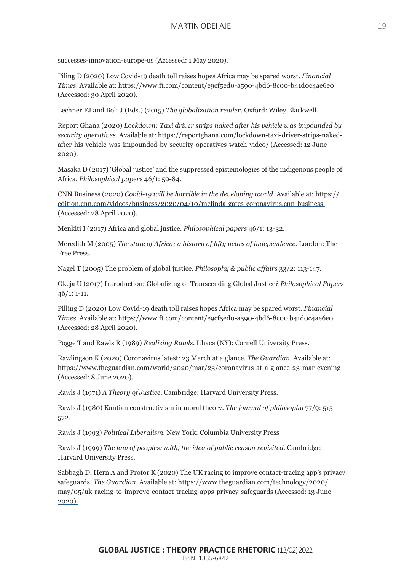successes-innovation-europe-us (Accessed: 1 May 2020).

Piling D (2020) Low Covid-19 death toll raises hopes Africa may be spared worst. *Financial Times*. Available at: https://www.ft.com/content/e9cf5ed0-a590-4bd6-8c00-b41d0c4ae6e0 (Accessed: 30 April 2020).

Lechner FJ and Boli J (Eds.) (2015) *The globalization reader*. Oxford: Wiley Blackwell.

Report Ghana (2020) *Lockdown: Taxi driver strips naked after his vehicle was impounded by security operatives*. Available at: https://reportghana.com/lockdown-taxi-driver-strips-nakedafter-his-vehicle-was-impounded-by-security-operatives-watch-video/ (Accessed: 12 June 2020).

Masaka D (2017) 'Global justice' and the suppressed epistemologies of the indigenous people of Africa. *Philosophical papers* 46/1: 59-84.

CNN Business (2020) *Covid-19 will be horrible in the developing world*. Available at: https:// edition.cnn.com/videos/business/2020/04/10/melinda-gates-coronavirus.cnn-business (Accessed: 28 April 2020).

Menkiti I (2017) Africa and global justice. *Philosophical papers* 46/1: 13-32.

Meredith M (2005) *The state of Africa: a history of fifty years of independence*. London: The Free Press.

Nagel T (2005) The problem of global justice. *Philosophy & public affairs* 33/2: 113-147.

Okeja U (2017) Introduction: Globalizing or Transcending Global Justice? *Philosophical Papers*  46/1: 1-11.

Pilling D (2020) Low Covid-19 death toll raises hopes Africa may be spared worst. *Financial Times.* Available at: https://www.ft.com/content/e9cf5ed0-a590-4bd6-8c00 b41d0c4ae6e0 (Accessed: 28 April 2020).

Pogge T and Rawls R (1989) *Realizing Rawls*. Ithaca (NY): Cornell University Press.

Rawlingson K (2020) Coronavirus latest: 23 March at a glance. *The Guardian.* Available at: https://www.theguardian.com/world/2020/mar/23/coronavirus-at-a-glance-23-mar-evening (Accessed: 8 June 2020).

Rawls J (1971) *A Theory of Justice*. Cambridge: Harvard University Press.

Rawls J (1980) Kantian constructivism in moral theory. *The journal of philosophy* 77/9: 515- 572.

Rawls J (1993) *Political Liberalism*. New York: Columbia University Press

Rawls J (1999) *The law of peoples: with, the idea of public reason revisited.* Cambridge: Harvard University Press.

Sabbagh D, Hern A and Protor K (2020) The UK racing to improve contact-tracing app's privacy safeguards. *The Guardian*. Available at: https://www.theguardian.com/technology/2020/ may/05/uk-racing-to-improve-contact-tracing-apps-privacy-safeguards (Accessed: 13 June 2020).